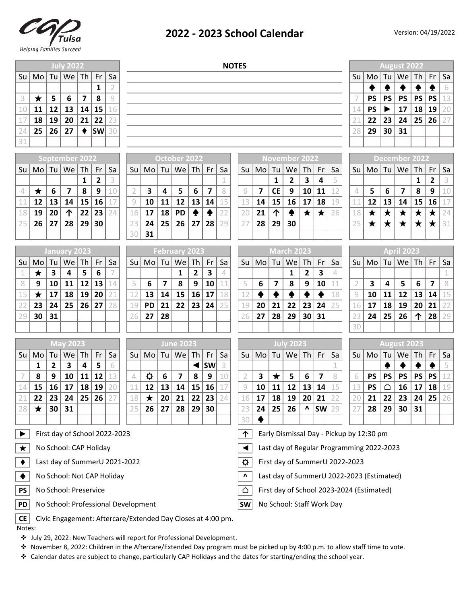

## **2022 - 2023 School Calendar**

|                       |                |                         | <b>July 2022</b>              |                         |                |                |                | <b>NOTES</b> |                         |                         |                 |                 |    |    |                         |                         |                                    |              |                         |    | <b>August 2022</b>                       |                      |            |                         |                 |                         |         |  |
|-----------------------|----------------|-------------------------|-------------------------------|-------------------------|----------------|----------------|----------------|--------------|-------------------------|-------------------------|-----------------|-----------------|----|----|-------------------------|-------------------------|------------------------------------|--------------|-------------------------|----|------------------------------------------|----------------------|------------|-------------------------|-----------------|-------------------------|---------|--|
| Su                    | M <sub>o</sub> | Tul                     | We                            | Th                      | Fr             | Sa             |                |              |                         |                         |                 |                 |    |    |                         |                         |                                    |              |                         |    | Su                                       | Mo                   | Tu         | We                      | Th              | Fr                      | Sa      |  |
|                       |                |                         |                               |                         | $\mathbf{1}$   | $\overline{2}$ |                |              |                         |                         |                 |                 |    |    |                         |                         |                                    |              |                         |    |                                          | ♠                    | ♠          | $\blacklozenge$         | ♠               |                         | 6       |  |
| $\mathsf 3$           | $\bigstar$     | 5                       | 6                             | $\overline{\mathbf{z}}$ | 8              | 9              |                |              |                         |                         |                 |                 |    |    |                         |                         |                                    |              |                         |    | 7                                        | <b>PS</b>            | <b>PS</b>  | <b>PS</b>               | <b>PS</b>       | <b>PS</b>               | 13      |  |
| 10                    | 11             | 12                      | 13                            | 14                      | 15             | 16             |                |              |                         |                         |                 |                 |    |    |                         |                         |                                    |              |                         |    | 14                                       | <b>PS</b>            |            | 17                      | 18              | 19                      | 20      |  |
| 17                    | 18             | 19                      | 20                            | 21                      | 22             | 23             |                |              |                         |                         |                 |                 |    |    |                         |                         |                                    |              |                         |    | 21                                       | 22                   | 23         | 24                      | 25              | 26                      | 27      |  |
| 24                    | 25             | 26                      | 27                            |                         | <b>SW</b>      | 30             |                |              |                         |                         |                 |                 |    |    |                         |                         |                                    |              |                         |    | 28                                       | 29                   | 30         | 31                      |                 |                         |         |  |
| 31                    |                |                         |                               |                         |                |                |                |              |                         |                         |                 |                 |    |    |                         |                         |                                    |              |                         |    |                                          |                      |            |                         |                 |                         |         |  |
|                       |                |                         | <b>September 2022</b>         |                         |                |                |                |              |                         | October 2022            |                 |                 |    |    | <b>November 2022</b>    |                         |                                    |              |                         |    |                                          | <b>December 2022</b> |            |                         |                 |                         |         |  |
| Su                    | M <sub>o</sub> | Tu                      | We                            | Th                      | Fr             | Sa             | Su             | Mo           | Tu                      | We                      | Th              | Fr              | Sa | Su | Mo                      | Tu                      | We                                 | $\mid$ Th    | Fr                      | Sa | Su                                       | Mo                   | Tu         | We                      | Th              | Fr                      | Sa      |  |
|                       |                |                         |                               | 1                       | $\overline{2}$ | 3              |                |              |                         |                         |                 |                 | 1  |    |                         | $\mathbf{1}$            | $\overline{2}$                     | $\mathbf{3}$ | 4                       | 5  |                                          |                      |            |                         | $\mathbf{1}$    | $\overline{2}$          | 3       |  |
| $\sqrt{\phantom{a}}$  | $\bigstar$     | 6                       | $\overline{\mathbf{z}}$       | 8                       | 9              | 10             | $\overline{2}$ | 3            | 4                       | 5                       | 6               | $\overline{7}$  | 8  | 6  | $\overline{\mathbf{z}}$ | <b>CE</b>               | $\boldsymbol{9}$                   | 10           | 11                      | 12 | 4                                        | 5                    | 6          | $\overline{\mathbf{z}}$ | 8               | 9                       | 10      |  |
| 11                    | 12             | 13                      | 14                            | 15                      | 16             | 17             | $\mathcal{G}$  | 10           | 11                      | 12                      | 13              | 14              | 15 | 13 | 14                      | 15                      | 16                                 | 17           | 18                      | 19 | 11                                       | 12                   | 13         | 14                      | 15              | 16                      | 17      |  |
| 18                    | 19             | 20                      | 个                             | 22                      | 23             | 24             | 16             | 17           | 18                      | <b>PD</b>               | $\blacklozenge$ | $\blacklozenge$ | 22 | 20 | 21                      | 个                       |                                    | $\bigstar$   | $\bigstar$              | 26 | 18                                       | $\bigstar$           | $\bigstar$ | $\bigstar$              | $\bigstar$      | $\star$                 | 24      |  |
| 25                    | 26             | 27                      | 28                            | 29                      | 30             |                | 23             | 24           | 25                      | 26                      | 27              | 28              | 29 | 27 | 28                      | 29                      | 30                                 |              |                         |    | 25                                       | $\bigstar$           | $\bigstar$ | $\bigstar$              | $\bigstar$      | $\star$                 | 31      |  |
|                       |                |                         |                               |                         |                |                | 30             | 31           |                         |                         |                 |                 |    |    |                         |                         |                                    |              |                         |    |                                          |                      |            |                         |                 |                         |         |  |
|                       |                |                         | January 2023                  |                         |                |                |                |              |                         | <b>February 2023</b>    |                 |                 |    |    |                         |                         | <b>March 2023</b>                  |              |                         |    |                                          |                      |            | April 2023              |                 |                         |         |  |
| Su                    | M <sub>O</sub> | Tu                      | We                            | Th                      | Fr             | Sa             | Su             | Mo           | Tu                      | We                      | Th              | Fr              | Sa | Su | Mo                      | Tu                      | We Th                              |              | Fr                      | Sa | Su                                       | Mo                   | Tu         | We                      | Th              | Fr                      | Sa      |  |
| $\mathbf 1$           | $\bigstar$     | $\overline{\mathbf{3}}$ | 4                             | 5                       | 6              |                |                |              |                         | $\mathbf{1}$            | $\overline{2}$  | 3               | 4  |    |                         |                         | $\mathbf{1}$                       | 2            | 3                       | 4  |                                          |                      |            |                         |                 |                         | $\perp$ |  |
| $\, 8$                | 9              | 10                      | 11                            | 12                      | 13             | 14             | 5              | 6            | $\overline{\mathbf{z}}$ | 8                       | 9               | 10              | 11 | 5  | 6                       | $\overline{\mathbf{z}}$ | 8                                  | 9            | 10                      | 11 | $\overline{2}$                           | 3                    | 4          | 5                       | 6               | $\overline{\mathbf{z}}$ | 8       |  |
| 15                    | $\bigstar$     | 17                      | 18                            | 19                      | 20             | 21             | 12             | 13           | 14                      | 15                      | 16              | 17              | 18 | 12 | $\blacklozenge$         | ♠                       | $\blacklozenge$                    | ♠            | $\blacklozenge$         | 18 | $\mathcal{G}$                            | 10                   | 11         | 12                      | 13              | 14                      | 15      |  |
| 22                    | 23             | 24                      | 25                            | 26                      | 27             | 28             | 19             | <b>PD</b>    | 21                      | 22                      | 23              | 24              | 25 | 19 | 20                      | 21                      | 22                                 | 23           | 24                      | 25 | 16                                       | 17                   | 18         | 19                      | 20              | 21                      | 22      |  |
| 29                    | 30             | 31                      |                               |                         |                |                | 26             | 27           | 28                      |                         |                 |                 |    | 26 | 27                      | 28                      | 29                                 | 30           | 31                      |    | 23                                       | 24                   | 25         | 26                      | 个               | 28                      | 29      |  |
|                       |                |                         |                               |                         |                |                |                |              |                         |                         |                 |                 |    |    |                         |                         |                                    |              |                         |    | 30                                       |                      |            |                         |                 |                         |         |  |
|                       |                |                         | <b>May 2023</b>               |                         |                |                |                |              |                         | <b>June 2023</b>        |                 |                 |    |    |                         |                         | <b>July 2023</b>                   |              |                         |    |                                          |                      |            | <b>August 2023</b>      |                 |                         |         |  |
| Su                    | Mo             | Tu                      | We                            | Th                      | Fr             | Sa             | Su             | Mo           | Tu                      | We                      | Th <sub>l</sub> | Fr              | Sa | Su |                         |                         | $\text{Mo}$ Tu $\mid$ We $\mid$ Th |              | Fr                      | Sa | Su                                       | Mo                   | Tu         | We                      | Th              | Fr                      | Sa      |  |
|                       | 1              | $\mathbf{2}$            | $\mathbf{3}$                  | 4                       | 5              | 6              |                |              |                         |                         | ◀               | SW              |    |    |                         |                         |                                    |              |                         |    |                                          |                      | ♠          | ♠                       | $\blacklozenge$ | ♠                       | 5       |  |
| 7                     | 8              | 9                       | 10                            | 11                      | 12             | 13             | 4              | $\sigma$     | 6                       | $\overline{\mathbf{z}}$ | 8               | 9               | 10 | 2  | 3                       | $\bigstar$              | 5                                  | 6            | $\overline{\mathbf{z}}$ | 8  | 6                                        | <b>PS</b>            | <b>PS</b>  | <b>PS</b>               | <b>PS</b>       | PS                      | 12      |  |
| 14                    | 15             | 16                      | 17                            | 18                      | 19             | 20             | 11             | 12           | 13                      | 14                      | 15              | 16              |    | 9  | 10                      | 11                      | 12                                 | 13           | 14                      | 15 | 13                                       | <b>PS</b>            | △          | 16                      | 17              | 18                      | 19      |  |
| 21                    | 22             | 23                      | 24                            | 25                      | 26             |                | 18             | $\bigstar$   | 20                      | 21                      | 22              | 23              |    | 16 | 17                      | 18                      | 19                                 | 20           | 21                      |    | 20                                       | 21                   | 22         | 23                      | 24              | 25                      | 26      |  |
| 28                    | $\bigstar$     | 30                      | 31                            |                         |                |                | 25             | 26           | 27                      | 28                      | 29              | 30              |    | 23 | 24                      | 25                      | 26                                 | Λ            | $SW$ 29                 |    | 27                                       | 28                   | 29         | 30                      | 31              |                         |         |  |
|                       |                |                         |                               |                         |                |                |                |              |                         |                         |                 |                 |    | 30 | ф                       |                         |                                    |              |                         |    |                                          |                      |            |                         |                 |                         |         |  |
| $\blacktriangleright$ |                |                         | First day of School 2022-2023 |                         |                |                |                |              |                         |                         |                 |                 |    | 个  |                         |                         |                                    |              |                         |    | Early Dismissal Day - Pickup by 12:30 pm |                      |            |                         |                 |                         |         |  |

| $\star$   No School: CAP Holiday |  |
|----------------------------------|--|

- $\blacklozenge$  Last day of SummerU 2021-2022
- ♣ **^**
- **PS d No** School: Preservice **definition d d d**
- **PD** | No School: Professional Development Note and No School: Staff Work Day

 $\vert$   $\vert$   $\vert$   $\vert$   $\vert$   $\vert$   $\vert$  ast day of Regular Programming 2022-2023 Early Dismissal Day - Pickup by 12:30 pm

- $\left| \mathbf{\Phi} \right|$  First day of SummerU 2022-2023
	- Last day of SummerU 2022-2023 (Estimated)
	- First day of School 2023-2024 (Estimated)
- 

**CE** Civic Engagement: Aftercare/Extended Day Closes at 4:00 pm. Notes:

- v July 29, 2022: New Teachers will report for Professional Development.
- v November 8, 2022: Children in the Aftercare/Extended Day program must be picked up by 4:00 p.m. to allow staff time to vote.
- v Calendar dates are subject to change, particularly CAP Holidays and the dates for starting/ending the school year.

| <b>November 2022</b> |                         |                 |                                  |                         |                         |    |  |  |  |  |  |  |  |  |
|----------------------|-------------------------|-----------------|----------------------------------|-------------------------|-------------------------|----|--|--|--|--|--|--|--|--|
| Su                   |                         |                 | $\text{Mo}$ Tu $\text{We}$ Th Fr |                         |                         | Sa |  |  |  |  |  |  |  |  |
|                      |                         | $\mathbf{1}$    | $\overline{2}$                   | $\overline{\mathbf{3}}$ | $\overline{\mathbf{4}}$ | 5  |  |  |  |  |  |  |  |  |
| 6                    | $\overline{\mathbf{z}}$ | <b>CE</b>       | $\mathbf{9}$                     | 10                      | 11                      | 12 |  |  |  |  |  |  |  |  |
| 13                   | 14                      | 15 <sup>1</sup> | 16                               | 17                      | 18                      | 19 |  |  |  |  |  |  |  |  |
| 20                   | 21                      |                 | ♠                                | $\bigstar$              | $\bigstar$              | 26 |  |  |  |  |  |  |  |  |
| 27                   | 28                      | 29              | 30                               |                         |                         |    |  |  |  |  |  |  |  |  |
|                      |                         |                 |                                  |                         |                         |    |  |  |  |  |  |  |  |  |

| <b>March 2023</b> |    |                |                                    |                |           |    |  |  |  |  |  |  |  |  |
|-------------------|----|----------------|------------------------------------|----------------|-----------|----|--|--|--|--|--|--|--|--|
| Su                |    |                | $\text{Mo}$ Tu   We   Th   Fr   Sa |                |           |    |  |  |  |  |  |  |  |  |
|                   |    |                | 1                                  | $\overline{2}$ | 3         |    |  |  |  |  |  |  |  |  |
| 5                 | 6  | $\overline{7}$ | 8                                  | 9              | 10        | 11 |  |  |  |  |  |  |  |  |
| 12                | ♠  | ♣              | $\ddot{\bullet}$                   | $\bullet$      | $\bullet$ | 18 |  |  |  |  |  |  |  |  |
| 19                | 20 | 21             | 22 23 24                           |                |           | 25 |  |  |  |  |  |  |  |  |
| 26                | 27 |                | 28   29                            | 30 31          |           |    |  |  |  |  |  |  |  |  |
|                   |    |                |                                    |                |           |    |  |  |  |  |  |  |  |  |

|                | <b>July 2023</b> |         |                                           |                    |           |                |  |  |  |  |  |  |  |  |  |
|----------------|------------------|---------|-------------------------------------------|--------------------|-----------|----------------|--|--|--|--|--|--|--|--|--|
|                |                  |         | $\text{Su}$   Mo   Tu   We   Th   Fr   Sa |                    |           |                |  |  |  |  |  |  |  |  |  |
|                |                  |         |                                           |                    |           | 1              |  |  |  |  |  |  |  |  |  |
| $\overline{2}$ | $\mathbf{3}$     | $\star$ | $5\overline{)}$                           | 6                  | $\vert$ 7 | 8              |  |  |  |  |  |  |  |  |  |
| 9              | 10               |         | $11 \mid 12 \mid 13 \mid 14 \mid 11$      |                    |           |                |  |  |  |  |  |  |  |  |  |
| 16             | 17               | 18      | 19                                        | 20 21              |           | 2 <sup>2</sup> |  |  |  |  |  |  |  |  |  |
| 23             | 24               |         | 25 26                                     | $\mathbf{\Lambda}$ | <b>SW</b> | 2 <sup>1</sup> |  |  |  |  |  |  |  |  |  |
| 30             | ♣                |         |                                           |                    |           |                |  |  |  |  |  |  |  |  |  |

| q  | 10                 |           | $11 \mid 12 \mid 13 \mid 14 \mid$            |           |                 | 15 <sub>1</sub> |  |  |  |  |  |  |  |  |  |
|----|--------------------|-----------|----------------------------------------------|-----------|-----------------|-----------------|--|--|--|--|--|--|--|--|--|
| 16 | 17                 | 18        | 19                                           | 20 21     |                 | 221             |  |  |  |  |  |  |  |  |  |
| 23 | 24                 | 25        | 26                                           | 个         | 28              | 29              |  |  |  |  |  |  |  |  |  |
| 30 |                    |           |                                              |           |                 |                 |  |  |  |  |  |  |  |  |  |
|    |                    |           |                                              |           |                 |                 |  |  |  |  |  |  |  |  |  |
|    | <b>August 2023</b> |           |                                              |           |                 |                 |  |  |  |  |  |  |  |  |  |
| Su |                    |           | $\text{Mo}$ Tu $\text{We}$ Th $\text{Fr}$ Sa |           |                 |                 |  |  |  |  |  |  |  |  |  |
|    |                    | ♠         | $\blacklozenge$                              | ♠         | $\blacklozenge$ | 5               |  |  |  |  |  |  |  |  |  |
| 6  | <b>PS</b>          | <b>PS</b> | PS   PS                                      |           | <b>PS</b>       | 12              |  |  |  |  |  |  |  |  |  |
| 13 | pς                 |           | 16 <sup>1</sup>                              | $17$   18 |                 | 19 <sub>1</sub> |  |  |  |  |  |  |  |  |  |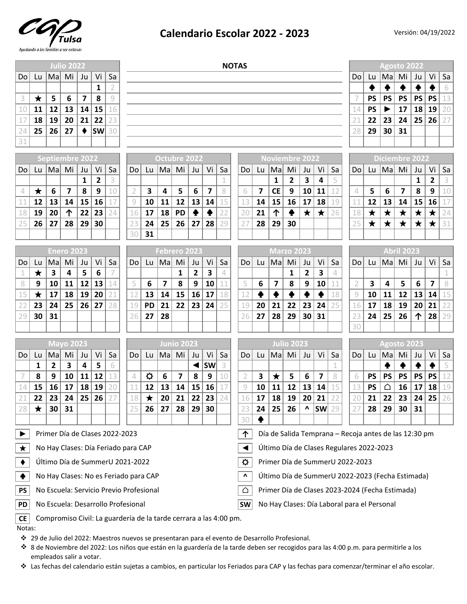

## **Calendario Escolar 2022 - 2023**

|                            |                                                                               |              | <b>Julio 2022</b>              |    |           |                | <b>NOTAS</b>                                                                                     |                  |                             |                         |              |               |    |                       |                                                                                                |                 |                   |                |                         | <b>Agosto 2022</b> |                                                       |            |             |                                 |                 |                         |             |
|----------------------------|-------------------------------------------------------------------------------|--------------|--------------------------------|----|-----------|----------------|--------------------------------------------------------------------------------------------------|------------------|-----------------------------|-------------------------|--------------|---------------|----|-----------------------|------------------------------------------------------------------------------------------------|-----------------|-------------------|----------------|-------------------------|--------------------|-------------------------------------------------------|------------|-------------|---------------------------------|-----------------|-------------------------|-------------|
| Do                         | Lu                                                                            | Mal          | Mi                             | Ju | Vi        | Sa             |                                                                                                  |                  |                             |                         |              |               |    |                       |                                                                                                |                 |                   |                |                         |                    |                                                       |            | Mal         | Mi                              | Ju              | Vi                      | Sa          |
|                            |                                                                               |              |                                |    | 1         | $\overline{2}$ |                                                                                                  |                  |                             |                         |              |               |    |                       |                                                                                                |                 |                   |                |                         |                    |                                                       | ♠          |             |                                 |                 |                         | 6           |
| 3                          | $\bigstar$                                                                    | 5            | 6                              | 7  | 8         | 9              |                                                                                                  |                  |                             |                         |              |               |    |                       |                                                                                                |                 |                   |                |                         |                    |                                                       | <b>PS</b>  | <b>PS</b>   | <b>PS</b>                       | PS              | <b>PS</b>               | 13          |
| 10                         | 11                                                                            | 12           | 13                             | 14 | 15        | 16             |                                                                                                  |                  |                             |                         |              |               |    |                       |                                                                                                |                 |                   |                |                         |                    | 14                                                    | <b>PS</b>  |             | 17                              | 18              | 19                      |             |
|                            | 18                                                                            | 19           | 20                             | 21 | 22        | 23             |                                                                                                  |                  |                             |                         |              |               |    |                       |                                                                                                |                 |                   |                |                         |                    |                                                       | 22         | 23          | 24                              | 25              | 26                      |             |
| 24                         | 25                                                                            | 26           | 27                             | ٠  | <b>SW</b> | 30             |                                                                                                  |                  |                             |                         |              |               |    |                       |                                                                                                |                 |                   |                |                         |                    | 28                                                    | 29         | 30          | 31                              |                 |                         |             |
| 31                         |                                                                               |              |                                |    |           |                |                                                                                                  |                  |                             |                         |              |               |    |                       |                                                                                                |                 |                   |                |                         |                    |                                                       |            |             |                                 |                 |                         |             |
|                            |                                                                               |              | <b>Septiembre 2022</b>         |    |           |                |                                                                                                  |                  | <b>Octubre 2022</b>         |                         |              |               |    | <b>Noviembre 2022</b> |                                                                                                |                 |                   |                |                         |                    |                                                       |            |             | <b>Diciembre 2022</b>           |                 |                         |             |
| Do                         | $\lfloor u \rfloor$                                                           | Mal          | Mi                             | Ju | Vi        | Sa             | Do                                                                                               | Lu               | $ $ Ma                      | Mi                      | Ju           | Vi            | Sa | Do                    | Lu                                                                                             | Mal             | Mi                | Ju             | Vi                      | Sa                 | Do                                                    | Lu         | Mal         | Mi                              | Ju              | Vi                      | Sa          |
|                            |                                                                               |              |                                | 1  | 2         | 3              |                                                                                                  |                  |                             |                         |              |               |    |                       |                                                                                                | 1               | $\mathbf{2}$      | 3              | 4                       | 5                  |                                                       |            |             |                                 | 1               | 2                       |             |
| 4                          | $\bigstar$                                                                    | 6            | 7                              | 8  | 9         | 10             | $\overline{2}$                                                                                   | 3                | 4                           | 5                       | 6            | 7             | 8  | 6                     | 7                                                                                              | <b>CE</b>       | 9                 | 10             | 11                      | 12                 | 4                                                     | 5          | 6           | $\overline{\mathbf{z}}$         | 8               | 9                       | 10          |
| 11                         | 12                                                                            | 13           | 14                             | 15 | 16        | 17             | 9                                                                                                | 10               | 11                          | 12                      | 13           | 14            | 15 | 13                    | 14                                                                                             | 15              | 16                | 17             | 18                      | 19                 | 11                                                    | 12         | 13          | 14                              | 15              | 16                      |             |
| 18                         | 19                                                                            | 20           | 个                              | 22 | 23        | 24             | 16                                                                                               | 17               | 18                          | <b>PD</b>               |              |               | 22 | 20                    | 21                                                                                             | 个               |                   | $\star$        | ★                       | 26                 | 18                                                    | $\bigstar$ | $\bigstar$  | $\bigstar$                      | $\bigstar$      | $\bigstar$              | 24          |
| 25                         | 26                                                                            | 27           | 28                             | 29 | 30        |                | 23<br>3 <sup>o</sup>                                                                             | 24<br>31         | 25                          | 26                      | 27           | 28            | 29 | 27                    | 28                                                                                             | 29              | 30                |                |                         |                    | 25                                                    | $\bigstar$ | $\bigstar$  | $\bigstar$                      | $\bigstar$      | $\bigstar$              | 31          |
|                            |                                                                               |              |                                |    |           |                |                                                                                                  |                  |                             |                         |              |               |    |                       |                                                                                                |                 |                   |                |                         |                    |                                                       |            |             |                                 |                 |                         |             |
|                            |                                                                               |              | <b>Enero 2023</b>              |    |           |                |                                                                                                  |                  | Febrero 2023                |                         |              |               |    |                       |                                                                                                |                 | <b>Marzo 2023</b> |                |                         |                    |                                                       |            |             | <b>Abril 2023</b>               |                 |                         |             |
| Do                         | Lu.                                                                           | Ma           | Mi                             | Ju | Vi        | Sa             | Do <sup>1</sup>                                                                                  | Lu               | Mal                         | Mi                      | Ju           | Vi            | Sa | Do                    | Lu                                                                                             | Ma              | Mi                | Ju             | Vi                      | Sa                 | Do                                                    | Lu         | Mal         | Mi                              | Ju              | Vi                      | Sa          |
| 1                          | $\bigstar$                                                                    | $\mathbf{3}$ | 4                              | 5  | 6         | 7              |                                                                                                  |                  |                             | $\mathbf{1}$            | $\mathbf{2}$ | 3             | 4  |                       |                                                                                                |                 | 1                 | $\overline{2}$ | 3                       | 4                  |                                                       |            |             |                                 |                 |                         | $\mathbf 1$ |
| 8                          | 9                                                                             | 10           | 11                             | 12 | 13        | 14             | 5                                                                                                | 6                | 7                           | 8                       | 9            | 10            |    | 5                     | 6                                                                                              | 7               | 8                 | 9              | 10                      |                    | $\overline{2}$                                        | 3          | 4           | 5                               | 6               | $\overline{\mathbf{z}}$ | 8           |
| 15                         | ★                                                                             | 17           | 18                             | 19 | 20        | 21             | 12                                                                                               | 13               | 14                          | 15                      | 16           | 17            | 18 | 12                    |                                                                                                | $\blacklozenge$ | ♠                 | ♠              |                         | 18                 | 9                                                     | 10         | 11          | 12                              | 13              | 14                      | 15          |
|                            | 23<br>30                                                                      | 24           | 25                             | 26 | 27        | 28             | 19<br>26                                                                                         | <b>PD</b>        | 21                          | 22                      | 23           | 24            | 25 | 19<br>26              | 20                                                                                             | 21              | 22                | 23             | 24                      | 25                 | 16                                                    | 17         | 18          | 19<br>26                        | 20 <sup>°</sup> | 21<br>28                |             |
| 29                         |                                                                               | 31           |                                |    |           |                |                                                                                                  | 27               | 28                          |                         |              |               |    |                       | 27                                                                                             | 28              | 29                | 30             | 31                      |                    | 23<br>30                                              | 24         | 25          |                                 | 个               |                         |             |
|                            |                                                                               |              |                                |    |           |                |                                                                                                  |                  |                             |                         |              |               |    |                       |                                                                                                |                 |                   |                |                         |                    |                                                       |            |             |                                 |                 |                         |             |
|                            |                                                                               |              | <b>Mayo 2023</b>               |    |           |                |                                                                                                  |                  |                             | <b>Junio 2023</b>       |              |               |    |                       | <b>Julio 2023</b>                                                                              |                 |                   |                |                         |                    |                                                       |            | Agosto 2023 |                                 |                 |                         |             |
| Do                         |                                                                               |              | Lu $\overline{\text{Ma}}$ Mi J | Ju | Vi ∣      | Sa             | Do <sub>1</sub>                                                                                  |                  | Lu $ $ Ma $ $ Mi $ $ Ju $ $ |                         |              | Vi $\sqrt{s}$ | Sa | Do                    |                                                                                                |                 | Lu   Ma  Mi   Ju  |                | Vi $\vert$ S            | -Sa                | Do                                                    |            |             | $ $ Lu $ M$ a $ $ Mi $ $ Ju $ $ |                 | .<br>Vi                 | <b>Sa</b>   |
|                            | 1                                                                             | 2            | 3                              | 4  | 5         |                |                                                                                                  |                  |                             |                         |              | <b>SW</b>     |    |                       |                                                                                                |                 |                   |                |                         |                    |                                                       |            |             |                                 |                 |                         |             |
|                            | 8                                                                             | 9            | 10                             | 11 | 12        | 13             | $\overline{\mathcal{A}}$                                                                         | $\sigma$         | 6                           | $\overline{\mathbf{z}}$ | 8            | 9             | 10 | $\overline{2}$        | 3                                                                                              | $\bigstar$      | 5                 | 6              | $\overline{\mathbf{z}}$ | 8                  | 6                                                     | <b>PS</b>  | <b>PS</b>   | <b>PS</b>                       | PS              | <b>PS</b>               |             |
| 14                         | 15                                                                            | 16           | 17                             | 18 | 19        | 20             | 11                                                                                               | 12               | 13                          | 14                      | 15           | 16            | 17 | 9                     | 10                                                                                             | 11              | 12                | 13             | 14                      | 15                 | 13                                                    | <b>PS</b>  | △           | 16                              | 17              | 18                      |             |
| 28                         | 22<br>$\star$                                                                 | 23<br>30     | 24<br>31                       | 25 | 26        |                | 18<br>25                                                                                         | $\bigstar$<br>26 | 20<br>27                    | 21<br>28                | 22<br>29     | 23<br>30      | 24 | 16<br>23              | 17<br>24                                                                                       | 18<br>25        | 19<br>26          | 20<br>Λ        | 21<br><b>SW</b>         | 29                 | 20<br>27                                              | 21<br>28   | 22<br>29    | 23<br>30                        | 24<br>31        | 25                      |             |
|                            |                                                                               |              |                                |    |           |                |                                                                                                  |                  |                             |                         |              |               |    | 30                    |                                                                                                |                 |                   |                |                         |                    |                                                       |            |             |                                 |                 |                         |             |
| $\blacktriangleright$      |                                                                               |              |                                |    |           |                | Primer Día de Clases 2022-2023                                                                   |                  |                             |                         |              |               |    | 个                     |                                                                                                |                 |                   |                |                         |                    | Día de Salida Temprana - Recoja antes de las 12:30 pm |            |             |                                 |                 |                         |             |
|                            |                                                                               |              |                                |    |           |                | No Hay Clases: Día Feriado para CAP                                                              |                  |                             |                         |              |               |    | $\blacktriangleleft$  |                                                                                                |                 |                   |                |                         |                    | Último Día de Clases Regulares 2022-2023              |            |             |                                 |                 |                         |             |
| $\star$<br>$\blacklozenge$ |                                                                               |              |                                |    |           |                | Último Día de SummerU 2021-2022                                                                  |                  |                             |                         |              |               |    | ♦                     |                                                                                                |                 |                   |                |                         |                    | Primer Día de SummerU 2022-2023                       |            |             |                                 |                 |                         |             |
| $\blacklozenge$            |                                                                               |              |                                |    |           |                | No Hay Clases: No es Feriado para CAP                                                            |                  |                             |                         |              |               |    | $\mathbf{v}$          |                                                                                                |                 |                   |                |                         |                    | Último Día de SummerU 2022-2023 (Fecha Estimada)      |            |             |                                 |                 |                         |             |
| <b>PS</b>                  |                                                                               |              |                                |    |           |                |                                                                                                  |                  |                             |                         |              |               |    | △                     |                                                                                                |                 |                   |                |                         |                    |                                                       |            |             |                                 |                 |                         |             |
| <b>PD</b>                  | No Escuela: Servicio Previo Profesional<br>No Escuela: Desarrollo Profesional |              |                                |    |           |                |                                                                                                  |                  |                             |                         |              |               |    | <b>SW</b>             | Primer Día de Clases 2023-2024 (Fecha Estimada)<br>No Hay Clases: Día Laboral para el Personal |                 |                   |                |                         |                    |                                                       |            |             |                                 |                 |                         |             |
| <b>CE</b>                  |                                                                               |              |                                |    |           |                | Compromiso Civil: La guardería de la tarde cerrara a las 4:00 pm.                                |                  |                             |                         |              |               |    |                       |                                                                                                |                 |                   |                |                         |                    |                                                       |            |             |                                 |                 |                         |             |
| Notas:                     |                                                                               |              |                                |    |           |                |                                                                                                  |                  |                             |                         |              |               |    |                       |                                                                                                |                 |                   |                |                         |                    |                                                       |            |             |                                 |                 |                         |             |
|                            |                                                                               |              |                                |    |           |                | * 29 de Julio del 2022: Maestros nuevos se presentaran para el evento de Desarrollo Profesional. |                  |                             |                         |              |               |    |                       |                                                                                                |                 |                   |                |                         |                    |                                                       |            |             |                                 |                 |                         |             |

- v 8 de Noviembre del 2022: Los niños que están en la guardería de la tarde deben ser recogidos para las 4:00 p.m. para permitirle a los empleados salir a votar.
- \* Las fechas del calendario están sujetas a cambios, en particular los Feriados para CAP y las fechas para comenzar/terminar el año escolar.